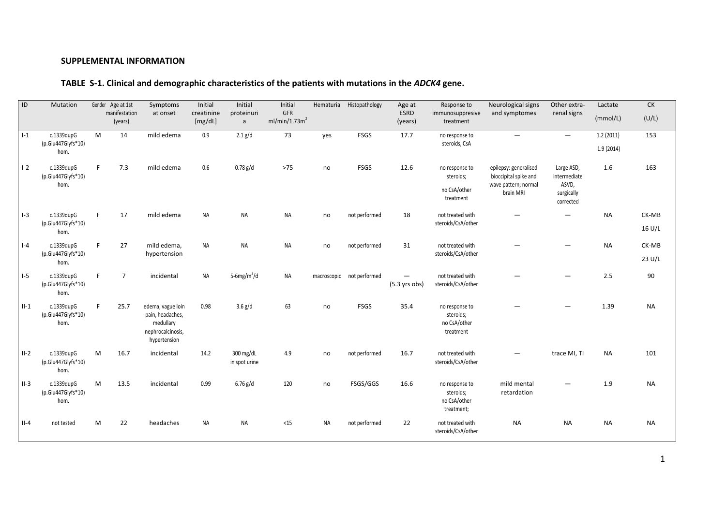## **SUPPLEMENTAL INFORMATION**

# **TABLE S-1. Clinical and demographic characteristics of the patients with mutations in the** *ADCK4* **gene.**

| ID      | Mutation                                   |    | Gender Age at 1st<br>manifestation<br>(years) | Symptoms<br>at onset                                                                    | Initial<br>creatinine<br>[mg/dL] | Initial<br>proteinuri<br>$\mathsf{a}$ | Initial<br>GFR<br>ml/min/1.73m <sup>2</sup> | Hematuria | Histopathology            | Age at<br>ESRD<br>(years) | Response to<br>immunosuppresive<br>treatment              | Neurological signs<br>and symptomes                                                 | Other extra-<br>renal signs                                    | Lactate<br>(mmol/L)    | <b>CK</b><br>(U/L) |
|---------|--------------------------------------------|----|-----------------------------------------------|-----------------------------------------------------------------------------------------|----------------------------------|---------------------------------------|---------------------------------------------|-----------|---------------------------|---------------------------|-----------------------------------------------------------|-------------------------------------------------------------------------------------|----------------------------------------------------------------|------------------------|--------------------|
| $I-1$   | c.1339dupG<br>(p.Glu447Glyfs*10)<br>hom.   | M  | 14                                            | mild edema                                                                              | 0.9                              | $2.1$ g/d                             | 73                                          | yes       | <b>FSGS</b>               | 17.7                      | no response to<br>steroids, CsA                           |                                                                                     | $\qquad \qquad -$                                              | 1.2(2011)<br>1.9(2014) | 153                |
| $I - 2$ | c.1339dupG<br>(p.Glu447Glyfs*10)<br>hom.   | F. | 7.3                                           | mild edema                                                                              | 0.6                              | $0.78$ g/d                            | $>75$                                       | no        | <b>FSGS</b>               | 12.6                      | no response to<br>steroids;<br>no CsA/other<br>treatment  | epilepsy: generalised<br>bioccipital spike and<br>wave pattern; normal<br>brain MRI | Large ASD,<br>intermediate<br>ASVD,<br>surgically<br>corrected | 1.6                    | 163                |
| $I-3$   | c.1339dupG<br>(p.Glu447Glyfs*10)<br>hom.   | F. | 17                                            | mild edema                                                                              | <b>NA</b>                        | <b>NA</b>                             | <b>NA</b>                                   | no        | not performed             | 18                        | not treated with<br>steroids/CsA/other                    |                                                                                     | $\overline{\phantom{0}}$                                       | <b>NA</b>              | CK-MB<br>16 U/L    |
| $ -4$   | c.1339dupG<br>(p.Glu447Glyfs*10)<br>hom.   | F. | 27                                            | mild edema,<br>hypertension                                                             | <b>NA</b>                        | <b>NA</b>                             | <b>NA</b>                                   | no        | not performed             | 31                        | not treated with<br>steroids/CsA/other                    |                                                                                     |                                                                | <b>NA</b>              | CK-MB<br>23 U/L    |
| $I-5$   | c.1339dupG<br>$(p.Glu447Glyfs*10)$<br>hom. | F. | $\overline{7}$                                | incidental                                                                              | <b>NA</b>                        | 5-6mg/m <sup>2</sup> /d               | <b>NA</b>                                   |           | macroscopic not performed | $(5.3 \text{ yrs}$        | not treated with<br>steroids/CsA/other                    |                                                                                     |                                                                | 2.5                    | 90                 |
| $II-1$  | c.1339dupG<br>(p.Glu447Glyfs*10)<br>hom.   | F. | 25.7                                          | edema, vague loin<br>pain, headaches,<br>medullary<br>nephrocalcinosis,<br>hypertension | 0.98                             | $3.6$ g/d                             | 63                                          | no        | <b>FSGS</b>               | 35.4                      | no response to<br>steroids;<br>no CsA/other<br>treatment  |                                                                                     |                                                                | 1.39                   | <b>NA</b>          |
| $II-2$  | c.1339dupG<br>(p.Glu447Glyfs*10)<br>hom.   | M  | 16.7                                          | incidental                                                                              | 14.2                             | 300 mg/dL<br>in spot urine            | 4.9                                         | no        | not performed             | 16.7                      | not treated with<br>steroids/CsA/other                    |                                                                                     | trace MI, TI                                                   | <b>NA</b>              | 101                |
| $II-3$  | c.1339dupG<br>(p.Glu447Glyfs*10)<br>hom.   | M  | 13.5                                          | incidental                                                                              | 0.99                             | $6.76$ g/d                            | 120                                         | no        | FSGS/GGS                  | 16.6                      | no response to<br>steroids;<br>no CsA/other<br>treatment; | mild mental<br>retardation                                                          |                                                                | 1.9                    | <b>NA</b>          |
| $II-4$  | not tested                                 | M  | 22                                            | headaches                                                                               | <b>NA</b>                        | <b>NA</b>                             | $15$                                        | NA        | not performed             | 22                        | not treated with<br>steroids/CsA/other                    | <b>NA</b>                                                                           | <b>NA</b>                                                      | <b>NA</b>              | <b>NA</b>          |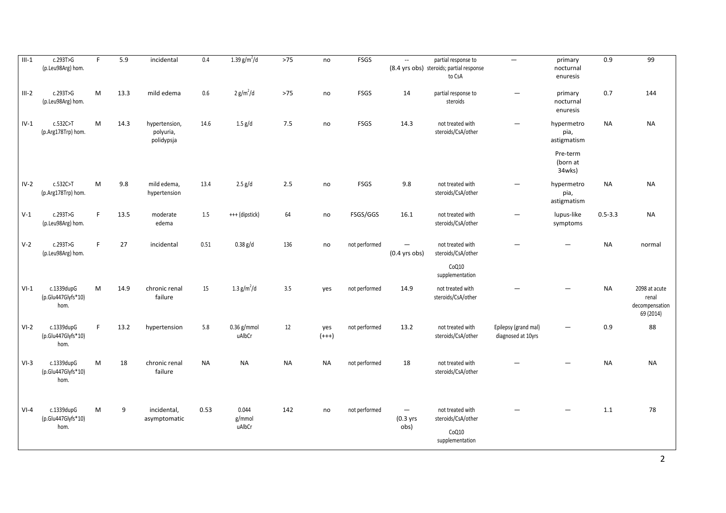| $III-1$ | c.293T>G<br>(p.Leu98Arg) hom.            | F           | 5.9  | incidental                               | 0.4       | 1.39 $g/m^2/d$            | $>75$     | no             | FSGS          | $\mathbb{L}^{\mathbb{L}}$ | partial response to<br>(8.4 yrs obs) steroids; partial response<br>to CsA | $\overline{\phantom{m}}$                   | primary<br>nocturnal<br>enuresis  | 0.9         | 99                                                    |
|---------|------------------------------------------|-------------|------|------------------------------------------|-----------|---------------------------|-----------|----------------|---------------|---------------------------|---------------------------------------------------------------------------|--------------------------------------------|-----------------------------------|-------------|-------------------------------------------------------|
| $III-2$ | c.293T>G<br>(p.Leu98Arg) hom.            | M           | 13.3 | mild edema                               | 0.6       | 2 g/m <sup>2</sup> /d     | $>75$     | no             | <b>FSGS</b>   | 14                        | partial response to<br>steroids                                           | $\overline{\phantom{0}}$                   | primary<br>nocturnal<br>enuresis  | 0.7         | 144                                                   |
| $IV-1$  | c.532C > T<br>(p.Arg178Trp) hom.         | M           | 14.3 | hypertension,<br>polyuria,<br>polidypsja | 14.6      | $1.5$ g/d                 | 7.5       | no             | FSGS          | 14.3                      | not treated with<br>steroids/CsA/other                                    |                                            | hypermetro<br>pia,<br>astigmatism | <b>NA</b>   | <b>NA</b>                                             |
|         |                                          |             |      |                                          |           |                           |           |                |               |                           |                                                                           |                                            | Pre-term<br>(born at<br>34wks)    |             |                                                       |
| $IV-2$  | c.532C>T<br>(p.Arg178Trp) hom.           | M           | 9.8  | mild edema,<br>hypertension              | 13.4      | $2.5$ g/d                 | 2.5       | no             | <b>FSGS</b>   | 9.8                       | not treated with<br>steroids/CsA/other                                    |                                            | hypermetro<br>pia,<br>astigmatism | <b>NA</b>   | <b>NA</b>                                             |
| $V-1$   | c.293T>G<br>(p.Leu98Arg) hom.            | F           | 13.5 | moderate<br>edema                        | 1.5       | +++ (dipstick)            | 64        | no             | FSGS/GGS      | 16.1                      | not treated with<br>steroids/CsA/other                                    | $\overline{\phantom{0}}$                   | lupus-like<br>symptoms            | $0.5 - 3.3$ | <b>NA</b>                                             |
| $V-2$   | c.293T>G<br>(p.Leu98Arg) hom.            | F.          | 27   | incidental                               | 0.51      | $0.38$ g/d                | 136       | no             | not performed | $(0.4$ yrs obs)           | not treated with<br>steroids/CsA/other<br>CoQ10                           |                                            |                                   | <b>NA</b>   | normal                                                |
|         |                                          |             |      |                                          |           |                           |           |                |               |                           | supplementation                                                           |                                            |                                   |             |                                                       |
| $VI-1$  | c.1339dupG<br>(p.Glu447Glyfs*10)<br>hom. | M           | 14.9 | chronic renal<br>failure                 | 15        | 1.3 $g/m^2/d$             | 3.5       | ves            | not performed | 14.9                      | not treated with<br>steroids/CsA/other                                    |                                            |                                   | <b>NA</b>   | 2098 at acute<br>renal<br>decompensation<br>69 (2014) |
| $VI-2$  | c.1339dupG<br>(p.Glu447Glyfs*10)<br>hom. | $\mathsf F$ | 13.2 | hypertension                             | 5.8       | $0.36$ g/mmol<br>uAlbCr   | 12        | yes<br>$(+++)$ | not performed | 13.2                      | not treated with<br>steroids/CsA/other                                    | Epilepsy (grand mal)<br>diagnosed at 10yrs |                                   | 0.9         | 88                                                    |
| $VI-3$  | c.1339dupG<br>(p.Glu447Glyfs*10)<br>hom. | M           | 18   | chronic renal<br>failure                 | <b>NA</b> | <b>NA</b>                 | <b>NA</b> | <b>NA</b>      | not performed | 18                        | not treated with<br>steroids/CsA/other                                    |                                            |                                   | <b>NA</b>   | <b>NA</b>                                             |
| $VI-4$  | c.1339dupG<br>(p.Glu447Glyfs*10)<br>hom. | M           | 9    | incidental,<br>asymptomatic              | 0.53      | 0.044<br>g/mmol<br>uAlbCr | 142       | no             | not performed | —<br>(0.3 yrs<br>obs)     | not treated with<br>steroids/CsA/other<br>CoQ10<br>supplementation        |                                            |                                   | 1.1         | 78                                                    |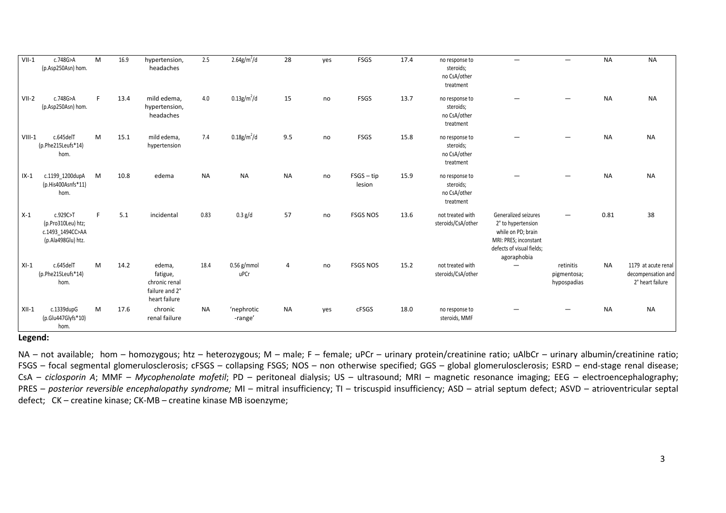| $VII-1$  | c.748G>A<br>(p.Asp250Asn) hom.                                           | M | 16.9 | hypertension,<br>headaches                                             | 2.5       | $2.64 g/m^2/d$             | 28             | yes | <b>FSGS</b>            | 17.4 | no response to<br>steroids;<br>no CsA/other<br>treatment |                                                                                                                                       | $\overline{\phantom{0}}$                | <b>NA</b> | <b>NA</b>                                                     |
|----------|--------------------------------------------------------------------------|---|------|------------------------------------------------------------------------|-----------|----------------------------|----------------|-----|------------------------|------|----------------------------------------------------------|---------------------------------------------------------------------------------------------------------------------------------------|-----------------------------------------|-----------|---------------------------------------------------------------|
| $VII-2$  | c.748G>A<br>(p.Asp250Asn) hom.                                           | F | 13.4 | mild edema,<br>hypertension,<br>headaches                              | 4.0       | $0.13$ g/m <sup>2</sup> /d | 15             | no  | <b>FSGS</b>            | 13.7 | no response to<br>steroids;<br>no CsA/other<br>treatment |                                                                                                                                       |                                         | <b>NA</b> | <b>NA</b>                                                     |
| $VIII-1$ | c.645delT<br>(p.Phe215Leufs*14)<br>hom.                                  | M | 15.1 | mild edema,<br>hypertension                                            | 7.4       | $0.18$ g/m <sup>2</sup> /d | 9.5            | no  | <b>FSGS</b>            | 15.8 | no response to<br>steroids;<br>no CsA/other<br>treatment |                                                                                                                                       |                                         | <b>NA</b> | <b>NA</b>                                                     |
| $IX-1$   | c.1199 1200dupA<br>(p.His400Asnfs*11)<br>hom.                            | M | 10.8 | edema                                                                  | <b>NA</b> | <b>NA</b>                  | <b>NA</b>      | no  | $FSGS - tip$<br>lesion | 15.9 | no response to<br>steroids;<br>no CsA/other<br>treatment |                                                                                                                                       |                                         | <b>NA</b> | <b>NA</b>                                                     |
| $X-1$    | c.929C>T<br>(p.Pro310Leu) htz;<br>c.1493 1494CC>AA<br>(p.Ala498Glu) htz. | F | 5.1  | incidental                                                             | 0.83      | 0.3 g/d                    | 57             | no  | <b>FSGS NOS</b>        | 13.6 | not treated with<br>steroids/CsA/other                   | Generalized seizures<br>2° to hypertension<br>while on PD; brain<br>MRI: PRES; inconstant<br>defects of visual fields;<br>agoraphobia |                                         | 0.81      | 38                                                            |
| $XI-1$   | c.645delT<br>(p.Phe215Leufs*14)<br>hom.                                  | M | 14.2 | edema,<br>fatigue,<br>chronic renal<br>failure and 2°<br>heart failure | 18.4      | $0.56$ g/mmol<br>uPCr      | $\overline{4}$ | no  | <b>FSGS NOS</b>        | 15.2 | not treated with<br>steroids/CsA/other                   | $\overline{\phantom{0}}$                                                                                                              | retinitis<br>pigmentosa;<br>hypospadias | <b>NA</b> | 1179 at acute renal<br>decompensation and<br>2° heart failure |
| $XII-1$  | c.1339dupG<br>(p.Glu447Glyfs*10)<br>hom.                                 | M | 17.6 | chronic<br>renal failure                                               | <b>NA</b> | 'nephrotic<br>-range'      | <b>NA</b>      | yes | cFSGS                  | 18.0 | no response to<br>steroids, MMF                          |                                                                                                                                       |                                         | <b>NA</b> | <b>NA</b>                                                     |

### **Legend:**

NA – not available; hom – homozygous; htz – heterozygous; M – male; F – female; uPCr – urinary protein/creatinine ratio; uAlbCr – urinary albumin/creatinine ratio; FSGS – focal segmental glomerulosclerosis; cFSGS – collapsing FSGS; NOS – non otherwise specified; GGS – global glomerulosclerosis; ESRD – end-stage renal disease; CsA – *ciclosporin A*; MMF – *Mycophenolate mofetil*; PD – peritoneal dialysis; US – ultrasound; MRI – magnetic resonance imaging; EEG – electroencephalography; PRES – *posterior reversible encephalopathy syndrome;* MI – mitral insufficiency; TI – triscuspid insufficiency; ASD – atrial septum defect; ASVD – atrioventricular septal defect; CK – creatine kinase; CK-MB – creatine kinase MB isoenzyme;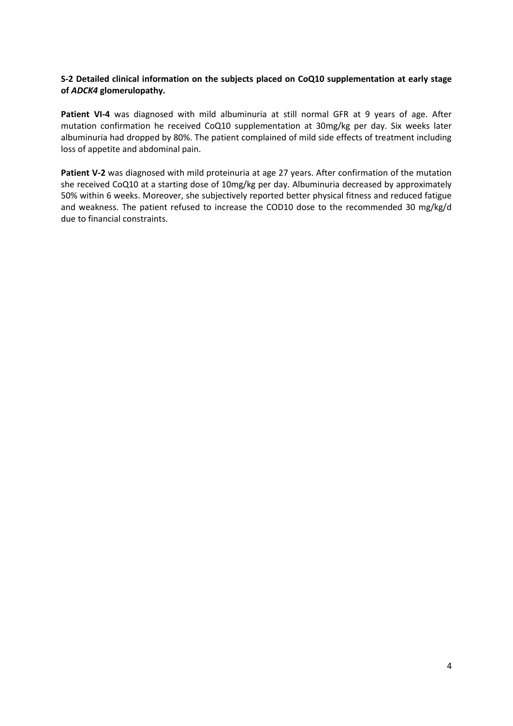## **S-2 Detailed clinical information on the subjects placed on CoQ10 supplementation at early stage of** *ADCK4* **glomerulopathy.**

**Patient VI-4** was diagnosed with mild albuminuria at still normal GFR at 9 years of age. After mutation confirmation he received CoQ10 supplementation at 30mg/kg per day. Six weeks later albuminuria had dropped by 80%. The patient complained of mild side effects of treatment including loss of appetite and abdominal pain.

**Patient V-2** was diagnosed with mild proteinuria at age 27 years. After confirmation of the mutation she received CoQ10 at a starting dose of 10mg/kg per day. Albuminuria decreased by approximately 50% within 6 weeks. Moreover, she subjectively reported better physical fitness and reduced fatigue and weakness. The patient refused to increase the COD10 dose to the recommended 30 mg/kg/d due to financial constraints.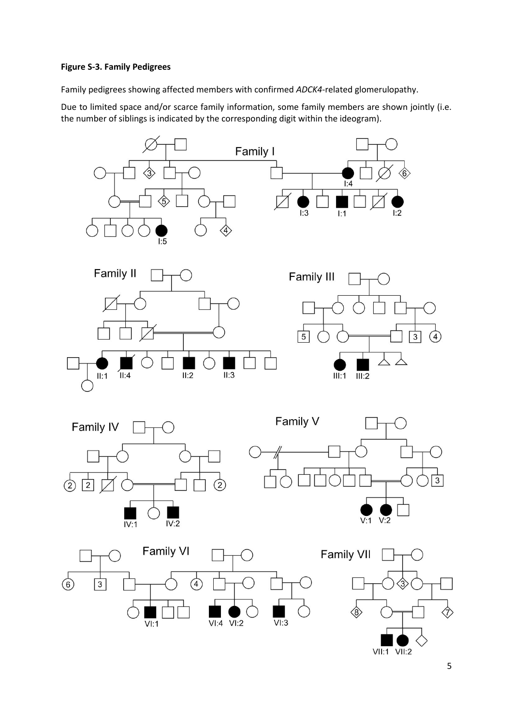## **Figure S-3. Family Pedigrees**

Family pedigrees showing affected members with confirmed *ADCK4*-related glomerulopathy.

Due to limited space and/or scarce family information, some family members are shown jointly (i.e. the number of siblings is indicated by the corresponding digit within the ideogram).

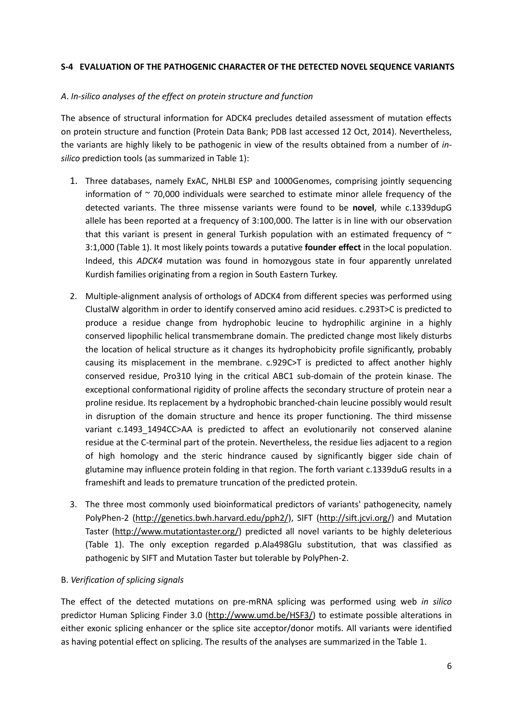## **S-4 EVALUATION OF THE PATHOGENIC CHARACTER OF THE DETECTED NOVEL SEQUENCE VARIANTS**

## *A*. *In-silico analyses of the effect on protein structure and function*

The absence of structural information for ADCK4 precludes detailed assessment of mutation effects on protein structure and function (Protein Data Bank; PDB last accessed 12 Oct, 2014). Nevertheless, the variants are highly likely to be pathogenic in view of the results obtained from a number of *insilico* prediction tools (as summarized in Table 1):

- 1. Three databases, namely ExAC, NHLBI ESP and 1000Genomes, comprising jointly sequencing information of  $\sim$  70,000 individuals were searched to estimate minor allele frequency of the detected variants. The three missense variants were found to be **novel**, while c.1339dupG allele has been reported at a frequency of 3:100,000. The latter is in line with our observation that this variant is present in general Turkish population with an estimated frequency of  $\sim$ 3:1,000 (Table 1). It most likely points towards a putative **founder effect** in the local population. Indeed, this *ADCK4* mutation was found in homozygous state in four apparently unrelated Kurdish families originating from a region in South Eastern Turkey.
- 2. Multiple-alignment analysis of orthologs of ADCK4 from different species was performed using ClustalW algorithm in order to identify conserved amino acid residues. c.293T>C is predicted to produce a residue change from hydrophobic leucine to hydrophilic arginine in a highly conserved lipophilic helical transmembrane domain. The predicted change most likely disturbs the location of helical structure as it changes its hydrophobicity profile significantly, probably causing its misplacement in the membrane. c.929C>T is predicted to affect another highly conserved residue, Pro310 lying in the critical ABC1 sub-domain of the protein kinase. The exceptional conformational rigidity of proline affects the secondary structure of protein near a proline residue. Its replacement by a hydrophobic branched-chain leucine possibly would result in disruption of the domain structure and hence its proper functioning. The third missense variant c.1493 1494CC>AA is predicted to affect an evolutionarily not conserved alanine residue at the C-terminal part of the protein. Nevertheless, the residue lies adjacent to a region of high homology and the steric hindrance caused by significantly bigger side chain of glutamine may influence protein folding in that region. The forth variant c.1339duG results in a frameshift and leads to premature truncation of the predicted protein.
- 3. The three most commonly used bioinformatical predictors of variants' pathogenecity, namely PolyPhen-2 [\(http://genetics.bwh.harvard.edu/pph2/\)](http://genetics.bwh.harvard.edu/pph2/), SIFT [\(http://sift.jcvi.org/\)](http://sift.jcvi.org/) and Mutation Taster [\(http://www.mutationtaster.org/\)](http://www.mutationtaster.org/) predicted all novel variants to be highly deleterious (Table 1). The only exception regarded p.Ala498Glu substitution, that was classified as pathogenic by SIFT and Mutation Taster but tolerable by PolyPhen-2.

## B. *Verification of splicing signals*

The effect of the detected mutations on pre-mRNA splicing was performed using web *in silico* predictor Human Splicing Finder 3.0 [\(http://www.umd.be/HSF3/\)](http://www.umd.be/HSF3/) to estimate possible alterations in either exonic splicing enhancer or the splice site acceptor/donor motifs. All variants were identified as having potential effect on splicing. The results of the analyses are summarized in the Table 1.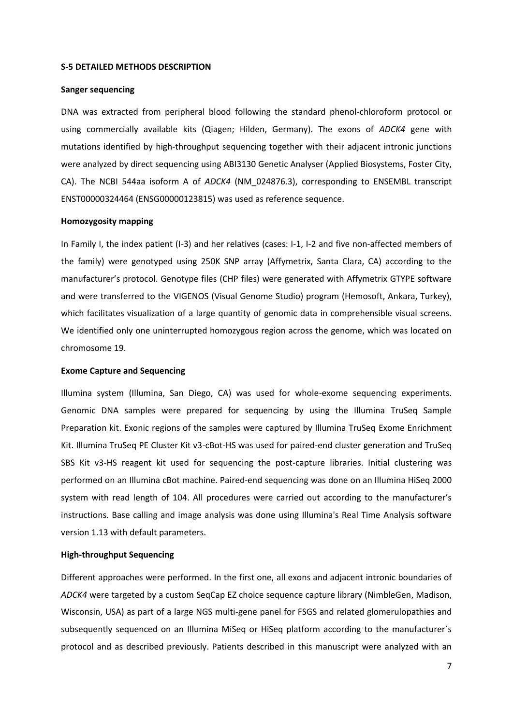#### **S-5 DETAILED METHODS DESCRIPTION**

## **Sanger sequencing**

DNA was extracted from peripheral blood following the standard phenol-chloroform protocol or using commercially available kits (Qiagen; Hilden, Germany). The exons of *ADCK4* gene with mutations identified by high-throughput sequencing together with their adjacent intronic junctions were analyzed by direct sequencing using ABI3130 Genetic Analyser (Applied Biosystems, Foster City, CA). The NCBI 544aa isoform A of *ADCK4* (NM\_024876.3), corresponding to ENSEMBL transcript ENST00000324464 (ENSG00000123815) was used as reference sequence.

### **Homozygosity mapping**

In Family I, the index patient (I-3) and her relatives (cases: I-1, I-2 and five non-affected members of the family) were genotyped using 250K SNP array (Affymetrix, Santa Clara, CA) according to the manufacturer's protocol. Genotype files (CHP files) were generated with Affymetrix GTYPE software and were transferred to the VIGENOS (Visual Genome Studio) program (Hemosoft, Ankara, Turkey), which facilitates visualization of a large quantity of genomic data in comprehensible visual screens. We identified only one uninterrupted homozygous region across the genome, which was located on chromosome 19.

## **Exome Capture and Sequencing**

Illumina system (Illumina, San Diego, CA) was used for whole-exome sequencing experiments. Genomic DNA samples were prepared for sequencing by using the Illumina TruSeq Sample Preparation kit. Exonic regions of the samples were captured by Illumina TruSeq Exome Enrichment Kit. Illumina TruSeq PE Cluster Kit v3-cBot-HS was used for paired-end cluster generation and TruSeq SBS Kit v3-HS reagent kit used for sequencing the post-capture libraries. Initial clustering was performed on an Illumina cBot machine. Paired-end sequencing was done on an Illumina HiSeq 2000 system with read length of 104. All procedures were carried out according to the manufacturer's instructions. Base calling and image analysis was done using Illumina's Real Time Analysis software version 1.13 with default parameters.

## **High-throughput Sequencing**

Different approaches were performed. In the first one, all exons and adjacent intronic boundaries of *ADCK4* were targeted by a custom SeqCap EZ choice sequence capture library (NimbleGen, Madison, Wisconsin, USA) as part of a large NGS multi-gene panel for FSGS and related glomerulopathies and subsequently sequenced on an Illumina MiSeq or HiSeq platform according to the manufacturer's protocol and as described previously. Patients described in this manuscript were analyzed with an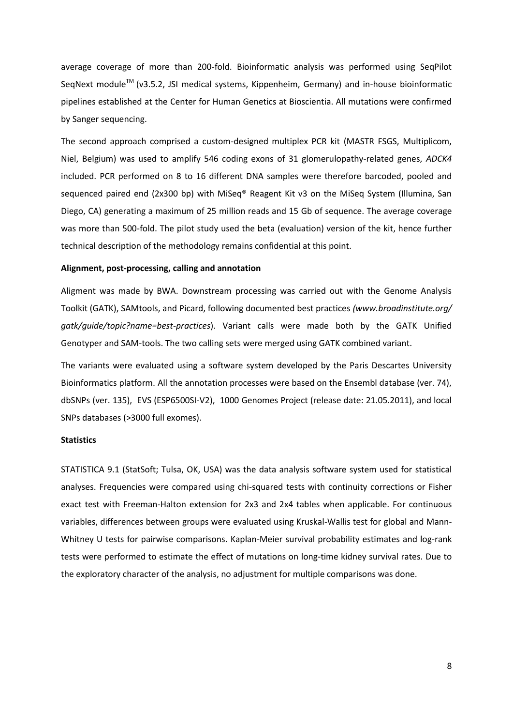average coverage of more than 200-fold. Bioinformatic analysis was performed using SeqPilot SeqNext module<sup>™</sup> (v3.5.2, JSI medical systems, Kippenheim, Germany) and in-house bioinformatic pipelines established at the Center for Human Genetics at Bioscientia. All mutations were confirmed by Sanger sequencing.

The second approach comprised a custom-designed multiplex PCR kit (MASTR FSGS, Multiplicom, Niel, Belgium) was used to amplify 546 coding exons of 31 glomerulopathy-related genes, *ADCK4* included. PCR performed on 8 to 16 different DNA samples were therefore barcoded, pooled and sequenced paired end (2x300 bp) with MiSeq® Reagent Kit v3 on the MiSeq System (Illumina, San Diego, CA) generating a maximum of 25 million reads and 15 Gb of sequence. The average coverage was more than 500-fold. The pilot study used the beta (evaluation) version of the kit, hence further technical description of the methodology remains confidential at this point.

### **Alignment, post-processing, calling and annotation**

Aligment was made by BWA. Downstream processing was carried out with the Genome Analysis Toolkit (GATK), SAMtools, and Picard, following documented best practices *(www.broadinstitute.org/ gatk/guide/topic?name=best-practices*). Variant calls were made both by the GATK Unified Genotyper and SAM-tools. The two calling sets were merged using GATK combined variant.

The variants were evaluated using a software system developed by the Paris Descartes University Bioinformatics platform. All the annotation processes were based on the Ensembl database (ver. 74), dbSNPs (ver. 135), EVS (ESP6500SI-V2), 1000 Genomes Project (release date: 21.05.2011), and local SNPs databases (>3000 full exomes).

## **Statistics**

STATISTICA 9.1 (StatSoft; Tulsa, OK, USA) was the data analysis software system used for statistical analyses. Frequencies were compared using chi-squared tests with continuity corrections or Fisher exact test with Freeman-Halton extension for 2x3 and 2x4 tables when applicable. For continuous variables, differences between groups were evaluated using Kruskal-Wallis test for global and Mann-Whitney U tests for pairwise comparisons. Kaplan-Meier survival probability estimates and log-rank tests were performed to estimate the effect of mutations on long-time kidney survival rates. Due to the exploratory character of the analysis, no adjustment for multiple comparisons was done.